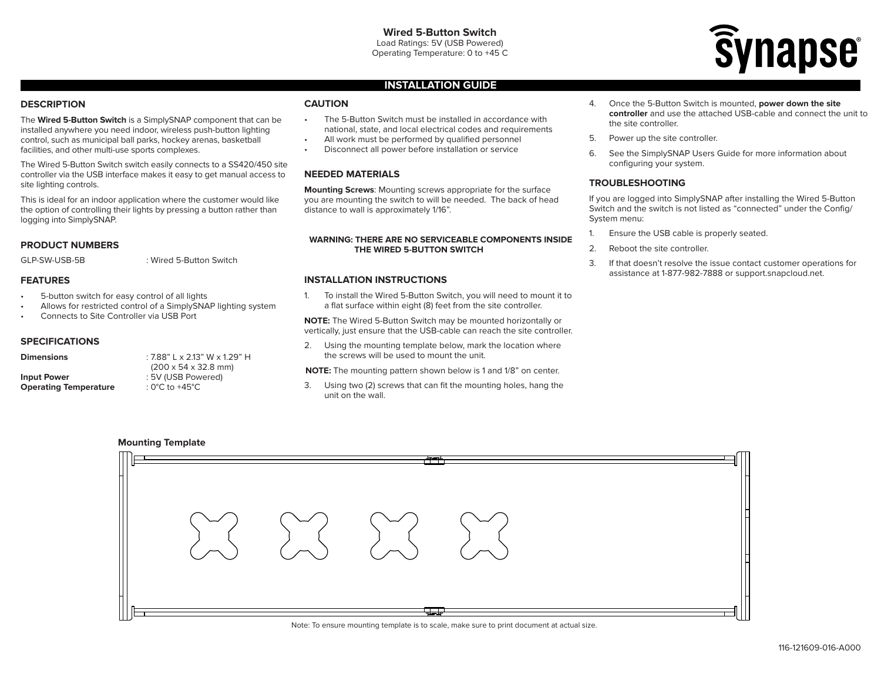

### **INSTALLATION GUIDE**

### **DESCRIPTION**

The **Wired 5-Button Switch** is a SimplySNAP component that can be installed anywhere you need indoor, wireless push-button lighting control, such as municipal ball parks, hockey arenas, basketball facilities, and other multi-use sports complexes.

The Wired 5-Button Switch switch easily connects to a SS420/450 site controller via the USB interface makes it easy to get manual access to site lighting controls.

This is ideal for an indoor application where the customer would like the option of controlling their lights by pressing a button rather than logging into SimplySNAP.

### **PRODUCT NUMBERS**

# GLP-SW-USB-5B : Wired 5-Button Switch

### **FEATURES**

- 5-button switch for easy control of all lights
- Allows for restricted control of a SimplySNAP lighting system
- Connects to Site Controller via USB Port

#### **SPECIFICATIONS**

| <b>Dimensions</b>            | $:7.88"$ L x 2.13" W x 1.29" H           |
|------------------------------|------------------------------------------|
|                              | $(200 \times 54 \times 32.8 \text{ mm})$ |
| <b>Input Power</b>           | : 5V (USB Powered)                       |
| <b>Operating Temperature</b> | : 0°C to +45°C                           |

## **CAUTION**

- The 5-Button Switch must be installed in accordance with national, state, and local electrical codes and requirements
- All work must be performed by qualified personnel
- Disconnect all power before installation or service

### **NEEDED MATERIALS**

**Mounting Screws**: Mounting screws appropriate for the surface you are mounting the switch to will be needed. The back of head distance to wall is approximately 1/16".

#### **WARNING: THERE ARE NO SERVICEABLE COMPONENTS INSIDE THE WIRED 5-BUTTON SWITCH**

### **INSTALLATION INSTRUCTIONS**

1. To install the Wired 5-Button Switch, you will need to mount it to a flat surface within eight (8) feet from the site controller.

**NOTE:** The Wired 5-Button Switch may be mounted horizontally or vertically, just ensure that the USB-cable can reach the site controller.

2. Using the mounting template below, mark the location where the screws will be used to mount the unit.

**NOTE:** The mounting pattern shown below is 1 and 1/8" on center.

3. Using two (2) screws that can fit the mounting holes, hang the unit on the wall.

- 4. Once the 5-Button Switch is mounted, **power down the site controller** and use the attached USB-cable and connect the unit to the site controller.
- 5. Power up the site controller.
- 6. See the SimplySNAP Users Guide for more information about configuring your system.

### **TROUBLESHOOTING**

If you are logged into SimplySNAP after installing the Wired 5-Button Switch and the switch is not listed as "connected" under the Config/ System menu:

- 1. Ensure the USB cable is properly seated.
- 2. Reboot the site controller.
- 3. If that doesn't resolve the issue contact customer operations for assistance at 1-877-982-7888 or support.snapcloud.net.





Note: To ensure mounting template is to scale, make sure to print document at actual size.